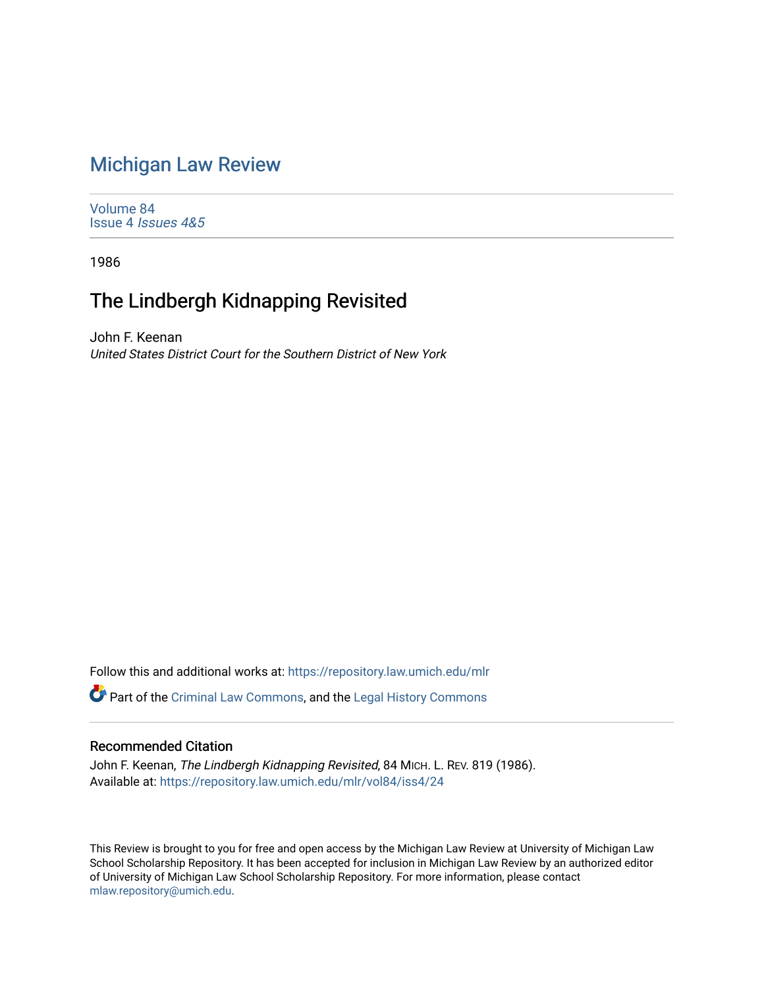## [Michigan Law Review](https://repository.law.umich.edu/mlr)

[Volume 84](https://repository.law.umich.edu/mlr/vol84) Issue 4 [Issues 4&5](https://repository.law.umich.edu/mlr/vol84/iss4) 

1986

# The Lindbergh Kidnapping Revisited

John F. Keenan United States District Court for the Southern District of New York

Follow this and additional works at: [https://repository.law.umich.edu/mlr](https://repository.law.umich.edu/mlr?utm_source=repository.law.umich.edu%2Fmlr%2Fvol84%2Fiss4%2F24&utm_medium=PDF&utm_campaign=PDFCoverPages) 

Part of the [Criminal Law Commons,](http://network.bepress.com/hgg/discipline/912?utm_source=repository.law.umich.edu%2Fmlr%2Fvol84%2Fiss4%2F24&utm_medium=PDF&utm_campaign=PDFCoverPages) and the [Legal History Commons](http://network.bepress.com/hgg/discipline/904?utm_source=repository.law.umich.edu%2Fmlr%2Fvol84%2Fiss4%2F24&utm_medium=PDF&utm_campaign=PDFCoverPages) 

#### Recommended Citation

John F. Keenan, The Lindbergh Kidnapping Revisited, 84 MICH. L. REV. 819 (1986). Available at: [https://repository.law.umich.edu/mlr/vol84/iss4/24](https://repository.law.umich.edu/mlr/vol84/iss4/24?utm_source=repository.law.umich.edu%2Fmlr%2Fvol84%2Fiss4%2F24&utm_medium=PDF&utm_campaign=PDFCoverPages) 

This Review is brought to you for free and open access by the Michigan Law Review at University of Michigan Law School Scholarship Repository. It has been accepted for inclusion in Michigan Law Review by an authorized editor of University of Michigan Law School Scholarship Repository. For more information, please contact [mlaw.repository@umich.edu.](mailto:mlaw.repository@umich.edu)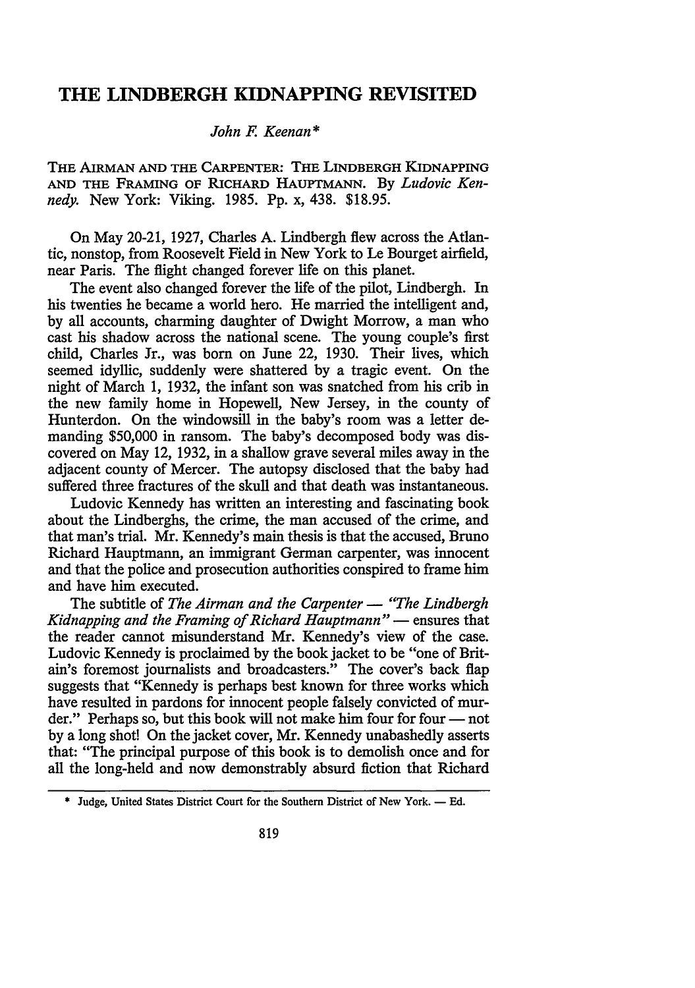### **THE LINDBERGH KIDNAPPING REVISITED**

#### *John F. Keenan\**

THE AIRMAN AND THE CARPENTER: THE LINDBERGH KIDNAPPING AND THE FRAMING OF RICHARD HAUPTMANN. By *Ludovic Kennedy.* New York: Viking. 1985. Pp. x, 438. \$18.95.

On May 20-21, 1927, Charles A. Lindbergh flew across the Atlantic, nonstop, from Roosevelt Field in New York to Le Bourget airfield, near Paris. The flight changed forever life on this planet.

The event also changed forever the life of the pilot, Lindbergh. In his twenties he became a world hero. He married the intelligent and, by all accounts, charming daughter of Dwight Morrow, a man who cast his shadow across the national scene. The young couple's first child, Charles Jr., was born on June 22, 1930. Their lives, which seemed idyllic, suddenly were shattered by a tragic event. On the night of March 1, 1932, the infant son was snatched from his crib in the new family home in Hopewell, New Jersey, in the county of Hunterdon. On the windowsill in the baby's room was a letter demanding \$50,000 in ransom. The baby's decomposed body was discovered on May 12, 1932, in a shallow grave several miles away in the adjacent county of Mercer. The autopsy disclosed that the baby had suffered three fractures of the skull and that death was instantaneous.

Ludovic Kennedy has written an interesting and fascinating book about the Lindberghs, the crime, the man accused of the crime, and that man's trial. Mr. Kennedy's main thesis is that the accused, Bruno Richard Hauptmann, an immigrant German carpenter, was innocent and that the police and prosecution authorities conspired to frame him and have him executed.

The subtitle of *The Airman and the Carpenter* — *"The Lindbergh Kidnapping and the Framing of Richard Hauptmann*" — ensures that the reader cannot misunderstand Mr. Kennedy's view of the case. Ludovic Kennedy is proclaimed by the book jacket to be "one of Britain's foremost journalists and broadcasters." The cover's back flap suggests that "Kennedy is perhaps best known for three works which have resulted in pardons for innocent people falsely convicted of mur $der."$  Perhaps so, but this book will not make him four for four  $-$  not by a long shot! On the jacket cover, Mr. Kennedy unabashedly asserts that: "The principal purpose of this book is to demolish once and for all the long-held and now demonstrably absurd fiction that Richard

<sup>\*</sup> Judge, United States District Court for the Southern District of New York. - Ed.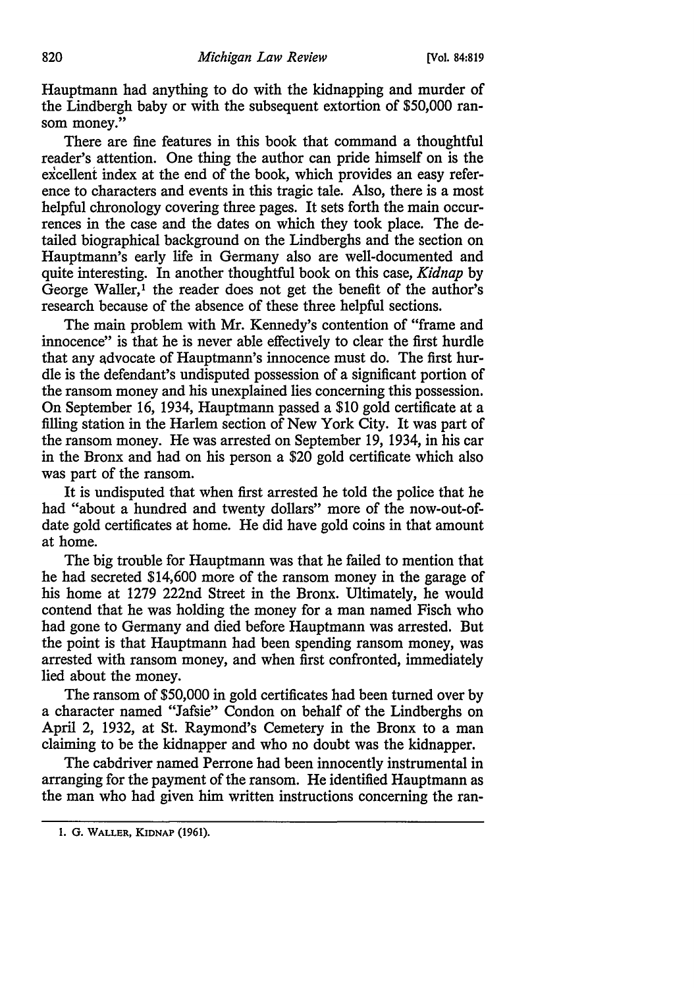Hauptmann had anything to do with the kidnapping and murder of the Lindbergh baby or with the subsequent extortion of \$50,000 ransom money."

There are fine features in this book that command a thoughtful reader's attention. One thing the author can pride himself on is the excellent index at the end of the book, which provides an easy reference to characters and events in this tragic tale. Also, there is a most helpful chronology covering three pages. It sets forth the main occurrences in the case and the dates on which they took place. The detailed biographical background on the Lindberghs and the section on Hauptmann's early life in Germany also are well-documented and quite interesting. In another thoughtful book on this case, *Kidnap* by George Waller, $<sup>1</sup>$  the reader does not get the benefit of the author's</sup> research because of the absence of these three helpful sections.

The main problem with Mr. Kennedy's contention of "frame and innocence" is that he is never able effectively to clear the first hurdle that any advocate of Hauptmann's innocence must do. The first hurdle is the defendant's undisputed possession of a significant portion of the ransom money and his unexplained lies concerning this possession. On September 16, 1934, Hauptmann passed a \$10 gold certificate at a filling station in the Harlem section of New York City. It was part of the ransom money. He was arrested on September 19, 1934, in his car in the Bronx and had on his person a \$20 gold certificate which also was part of the ransom.

It is undisputed that when first arrested he told the police that he had "about a hundred and twenty dollars" more of the now-out-ofdate gold certificates at home. He did have gold coins in that amount at home.

The big trouble for Hauptmann was that he failed to mention that he had secreted \$14,600 more of the ransom money in the garage of his home at 1279 222nd Street in the Bronx. Ultimately, he would contend that he was holding the money for a man named Fisch who had gone to Germany and died before Hauptmann was arrested. But the point is that Hauptmann had been spending ransom money, was arrested with ransom money, and when first confronted, immediately lied about the money.

The ransom of \$50,000 in gold certificates had been turned over by a character named "Jafsie" Condon on behalf of the Lindberghs on April 2, 1932, at St. Raymond's Cemetery in the Bronx to a man claiming to be the kidnapper and who no doubt was the kidnapper.

The cabdriver named Perrone had been innocently instrumental in arranging for the payment of the ransom. He identified Hauptmann as the man who had given him written instructions concerning the ran-

<sup>1.</sup> G. WALLER, KIDNAP (1961).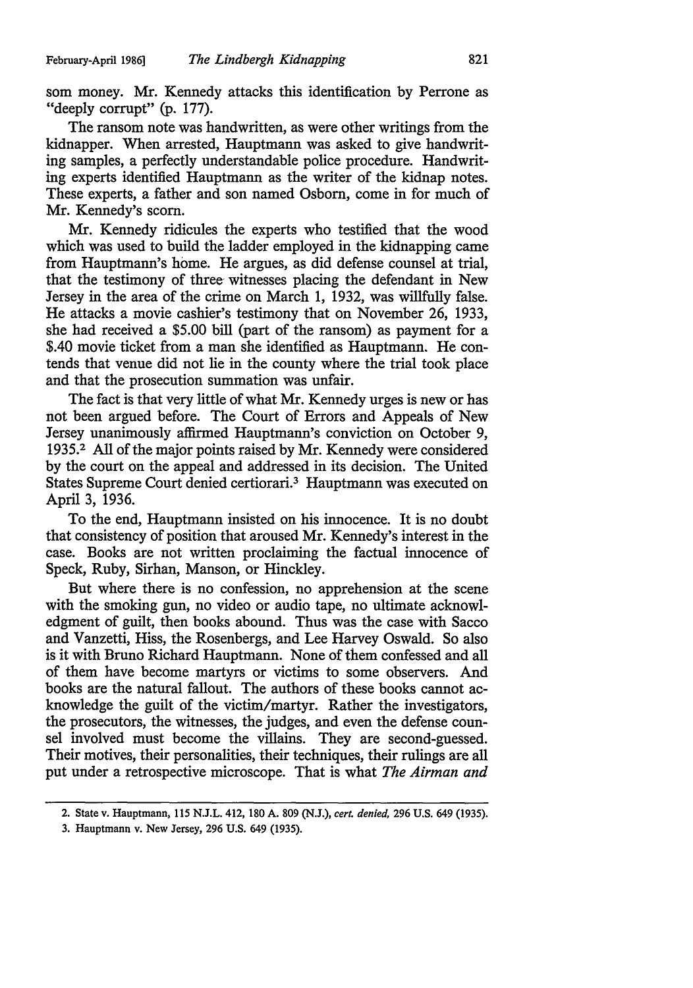som money. Mr. Kennedy attacks this identification by Perrone as "deeply corrupt" (p. 177).

The ransom note was handwritten, as were other writings from the kidnapper. When arrested, Hauptmann was asked to give handwriting samples, a perfectly understandable police procedure. Handwriting experts identified Hauptmann as the writer of the kidnap notes. These experts, a father and son named Osborn, come in for much of Mr. Kennedy's scorn.

Mr. Kennedy ridicules the experts who testified that the wood which was used to build the ladder employed in the kidnapping came from Hauptmann's home. He argues, as did defense counsel at trial, that the testimony of three witnesses placing the defendant in New Jersey in the area of the crime on March 1, 1932, was willfully false. He attacks a movie cashier's testimony that on November 26, 1933, she had received a \$5.00 bill (part of the ransom) as payment for a \$.40 movie ticket from a man she identified as Hauptmann. He contends that venue did not lie in the county where the trial took place and that the prosecution summation was unfair.

The fact is that very little of what Mr. Kennedy urges is new or has not been argued before. The Court of Errors and Appeals of New Jersey unanimously affirmed Hauptmann's conviction on October 9, 1935.2 All of the major points raised by Mr. Kennedy were considered by the court on the appeal and addressed in its decision. The United States Supreme Court denied certiorari.<sup>3</sup> Hauptmann was executed on April 3, 1936.

To the end, Hauptmann insisted on his innocence. It is no doubt that consistency of position that aroused Mr. Kennedy's interest in the case. Books are not written proclaiming the factual innocence of Speck, Ruby, Sirhan, Manson, or Hinckley.

But where there is no confession, no apprehension at the scene with the smoking gun, no video or audio tape, no ultimate acknowledgment of guilt, then books abound. Thus was the case with Sacco and Vanzetti, Hiss, the Rosenbergs, and Lee Harvey Oswald. So also is it with Bruno Richard Hauptmann. None of them confessed and all of them have become martyrs or victims to some observers. And books are the natural fallout. The authors of these books cannot acknowledge the guilt of the victim/martyr. Rather the investigators, the prosecutors, the witnesses, the judges, and even the defense counsel involved must become the villains. They are second-guessed. Their motives, their personalities, their techniques, their rulings are all put under a retrospective microscope. That is what *The Airman and* 

<sup>2.</sup> State v. Hauptmann, 115 N.J.L. 412, 180 A. 809 (N.J.), *cert. denied,* 296 U.S. 649 (1935).

<sup>3.</sup> Hauptmann v. New Jersey, 296 U.S. 649 (1935).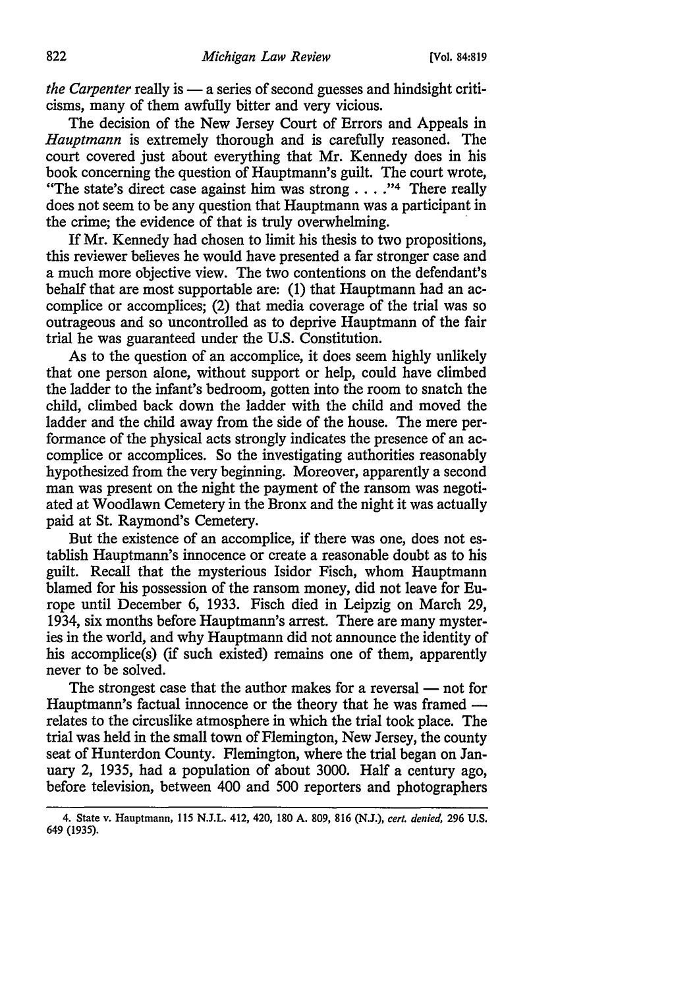*the Carpenter* really is — a series of second guesses and hindsight criticisms, many of them awfully bitter and very vicious.

The decision of the New Jersey Court of Errors and Appeals in *Hauptmann* is extremely thorough and is carefully reasoned. The court covered just about everything that Mr. Kennedy does in his book concerning the question of Hauptmann's guilt. The court wrote, "The state's direct case against him was strong . . . ."4 There really does not seem to be any question that Hauptmann was a participant in the crime; the evidence of that is truly overwhelming.

If Mr. Kennedy had chosen to limit his thesis to two propositions, this reviewer believes he would have presented a far stronger case and a much more objective view. The two contentions on the defendant's behalf that are most supportable are: (1) that Hauptmann had an accomplice or accomplices; (2) that media coverage of the trial was so outrageous and so uncontrolled as to deprive Hauptmann of the fair trial he was guaranteed under the U.S. Constitution.

As to the question of an accomplice, it does seem highly unlikely that one person alone, without support or help, could have climbed the ladder to the infant's bedroom, gotten into the room to snatch the child, climbed back down the ladder with the child and moved the ladder and the child away from the side of the house. The mere performance of the physical acts strongly indicates the presence of an accomplice or accomplices. So the investigating authorities reasonably hypothesized from the very beginning. Moreover, apparently a second man was present on the night the payment of the ransom was negotiated at Woodlawn Cemetery in the Bronx and the night it was actually paid at St. Raymond's Cemetery.

But the existence of an accomplice, if there was one, does not establish Hauptmann's innocence or create a reasonable doubt as to his guilt. Recall that the mysterious Isidor Fisch, whom Hauptmann blamed for his possession of the ransom money, did not leave for Europe until December 6, 1933. Fisch died in Leipzig on March 29, 1934, six months before Hauptmann's arrest. There are many mysteries in the world, and why Hauptmann did not announce the identity of his accomplice(s) (if such existed) remains one of them, apparently never to be solved.

The strongest case that the author makes for a reversal — not for Hauptmann's factual innocence or the theory that he was framed relates to the circuslike atmosphere in which the trial took place. The trial was held in the small town of Flemington, New Jersey, the county seat of Hunterdon County. Flemington, where the trial began on January 2, 1935, had a population of about 3000. Half a century ago, before television, between 400 and 500 reporters and photographers

<sup>4.</sup> State v. Hauptmann, 115 N.J.L. 412, 420, 180 A. 809, 816 (N.J.), *cert. denied,* 296 U.S. 649 (1935).